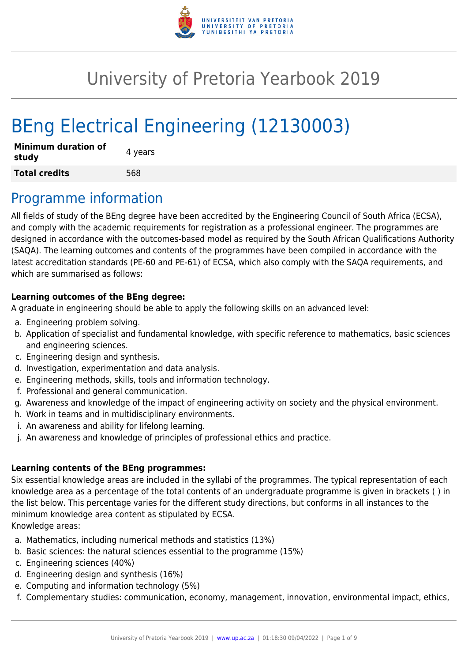

# University of Pretoria Yearbook 2019

# BEng Electrical Engineering (12130003)

| <b>Minimum duration of</b><br>study | 4 years |
|-------------------------------------|---------|
| <b>Total credits</b>                | 568     |

### Programme information

All fields of study of the BEng degree have been accredited by the Engineering Council of South Africa (ECSA), and comply with the academic requirements for registration as a professional engineer. The programmes are designed in accordance with the outcomes-based model as required by the South African Qualifications Authority (SAQA). The learning outcomes and contents of the programmes have been compiled in accordance with the latest accreditation standards (PE-60 and PE-61) of ECSA, which also comply with the SAQA requirements, and which are summarised as follows:

#### **Learning outcomes of the BEng degree:**

A graduate in engineering should be able to apply the following skills on an advanced level:

- a. Engineering problem solving.
- b. Application of specialist and fundamental knowledge, with specific reference to mathematics, basic sciences and engineering sciences.
- c. Engineering design and synthesis.
- d. Investigation, experimentation and data analysis.
- e. Engineering methods, skills, tools and information technology.
- f. Professional and general communication.
- g. Awareness and knowledge of the impact of engineering activity on society and the physical environment.
- h. Work in teams and in multidisciplinary environments.
- i. An awareness and ability for lifelong learning.
- j. An awareness and knowledge of principles of professional ethics and practice.

#### **Learning contents of the BEng programmes:**

Six essential knowledge areas are included in the syllabi of the programmes. The typical representation of each knowledge area as a percentage of the total contents of an undergraduate programme is given in brackets ( ) in the list below. This percentage varies for the different study directions, but conforms in all instances to the minimum knowledge area content as stipulated by ECSA. Knowledge areas:

- a. Mathematics, including numerical methods and statistics (13%)
- b. Basic sciences: the natural sciences essential to the programme (15%)
- c. Engineering sciences (40%)
- d. Engineering design and synthesis (16%)
- e. Computing and information technology (5%)
- f. Complementary studies: communication, economy, management, innovation, environmental impact, ethics,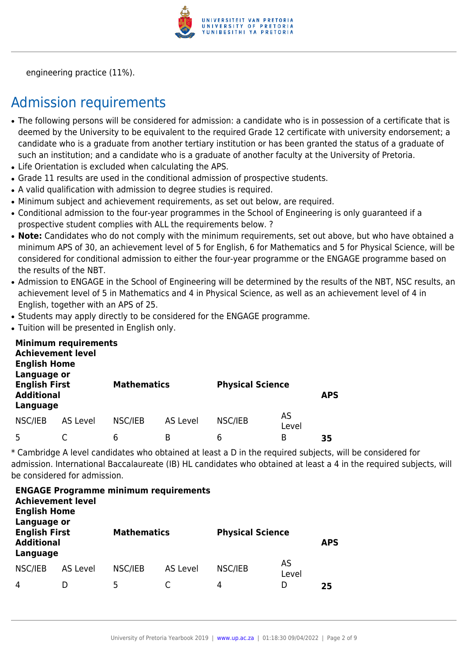

engineering practice (11%).

# Admission requirements

- The following persons will be considered for admission: a candidate who is in possession of a certificate that is deemed by the University to be equivalent to the required Grade 12 certificate with university endorsement; a candidate who is a graduate from another tertiary institution or has been granted the status of a graduate of such an institution; and a candidate who is a graduate of another faculty at the University of Pretoria.
- Life Orientation is excluded when calculating the APS.
- Grade 11 results are used in the conditional admission of prospective students.
- A valid qualification with admission to degree studies is required.
- Minimum subject and achievement requirements, as set out below, are required.
- Conditional admission to the four-year programmes in the School of Engineering is only guaranteed if a prospective student complies with ALL the requirements below. ?
- Note: Candidates who do not comply with the minimum requirements, set out above, but who have obtained a minimum APS of 30, an achievement level of 5 for English, 6 for Mathematics and 5 for Physical Science, will be considered for conditional admission to either the four-year programme or the ENGAGE programme based on the results of the NBT.
- Admission to ENGAGE in the School of Engineering will be determined by the results of the NBT. NSC results, an achievement level of 5 in Mathematics and 4 in Physical Science, as well as an achievement level of 4 in English, together with an APS of 25.
- Students may apply directly to be considered for the ENGAGE programme.
- Tuition will be presented in English only.

| <b>English Home</b><br>Language or                    | <b>Minimum requirements</b><br><b>Achievement level</b> |         |                    |         |                         |    |
|-------------------------------------------------------|---------------------------------------------------------|---------|--------------------|---------|-------------------------|----|
| <b>English First</b><br><b>Additional</b><br>Language |                                                         |         | <b>Mathematics</b> |         | <b>Physical Science</b> |    |
| NSC/IEB                                               | AS Level                                                | NSC/IEB | AS Level           | NSC/IEB | AS<br>Level             |    |
| 5                                                     |                                                         | 6       | B                  | 6       | B                       | 35 |

\* Cambridge A level candidates who obtained at least a D in the required subjects, will be considered for admission. International Baccalaureate (IB) HL candidates who obtained at least a 4 in the required subjects, will be considered for admission.

| <b>ENGAGE Programme minimum requirements</b><br><b>Achievement level</b><br><b>English Home</b><br>Language or |          |                    |          |                         |             |            |  |  |  |  |
|----------------------------------------------------------------------------------------------------------------|----------|--------------------|----------|-------------------------|-------------|------------|--|--|--|--|
| <b>English First</b><br><b>Additional</b><br>Language                                                          |          | <b>Mathematics</b> |          | <b>Physical Science</b> |             | <b>APS</b> |  |  |  |  |
| NSC/IEB                                                                                                        | AS Level | NSC/IEB            | AS Level | NSC/IEB                 | AS<br>Level |            |  |  |  |  |
| 4                                                                                                              |          | 5                  |          | 4                       | D           | 25         |  |  |  |  |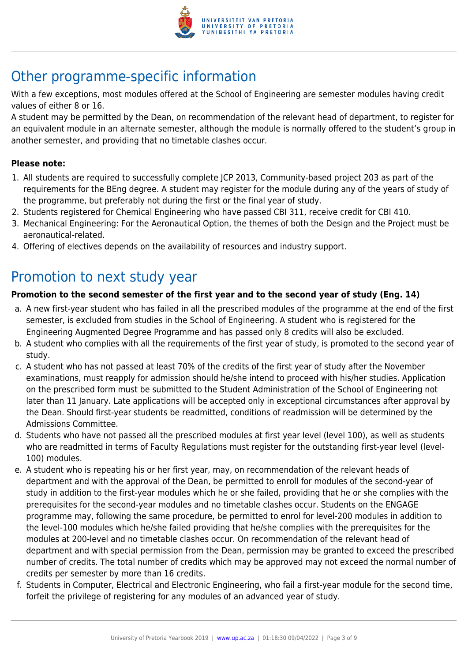

# Other programme-specific information

With a few exceptions, most modules offered at the School of Engineering are semester modules having credit values of either 8 or 16.

A student may be permitted by the Dean, on recommendation of the relevant head of department, to register for an equivalent module in an alternate semester, although the module is normally offered to the student's group in another semester, and providing that no timetable clashes occur.

#### **Please note:**

- 1. All students are required to successfully complete JCP 2013, Community-based project 203 as part of the requirements for the BEng degree. A student may register for the module during any of the years of study of the programme, but preferably not during the first or the final year of study.
- 2. Students registered for Chemical Engineering who have passed CBI 311, receive credit for CBI 410.
- 3. Mechanical Engineering: For the Aeronautical Option, the themes of both the Design and the Project must be aeronautical-related.
- 4. Offering of electives depends on the availability of resources and industry support.

# Promotion to next study year

#### **Promotion to the second semester of the first year and to the second year of study (Eng. 14)**

- a. A new first-year student who has failed in all the prescribed modules of the programme at the end of the first semester, is excluded from studies in the School of Engineering. A student who is registered for the Engineering Augmented Degree Programme and has passed only 8 credits will also be excluded.
- b. A student who complies with all the requirements of the first year of study, is promoted to the second year of study.
- c. A student who has not passed at least 70% of the credits of the first year of study after the November examinations, must reapply for admission should he/she intend to proceed with his/her studies. Application on the prescribed form must be submitted to the Student Administration of the School of Engineering not later than 11 January. Late applications will be accepted only in exceptional circumstances after approval by the Dean. Should first-year students be readmitted, conditions of readmission will be determined by the Admissions Committee.
- d. Students who have not passed all the prescribed modules at first year level (level 100), as well as students who are readmitted in terms of Faculty Regulations must register for the outstanding first-year level (level-100) modules.
- e. A student who is repeating his or her first year, may, on recommendation of the relevant heads of department and with the approval of the Dean, be permitted to enroll for modules of the second-year of study in addition to the first-year modules which he or she failed, providing that he or she complies with the prerequisites for the second-year modules and no timetable clashes occur. Students on the ENGAGE programme may, following the same procedure, be permitted to enrol for level-200 modules in addition to the level-100 modules which he/she failed providing that he/she complies with the prerequisites for the modules at 200-level and no timetable clashes occur. On recommendation of the relevant head of department and with special permission from the Dean, permission may be granted to exceed the prescribed number of credits. The total number of credits which may be approved may not exceed the normal number of credits per semester by more than 16 credits.
- f. Students in Computer, Electrical and Electronic Engineering, who fail a first-year module for the second time, forfeit the privilege of registering for any modules of an advanced year of study.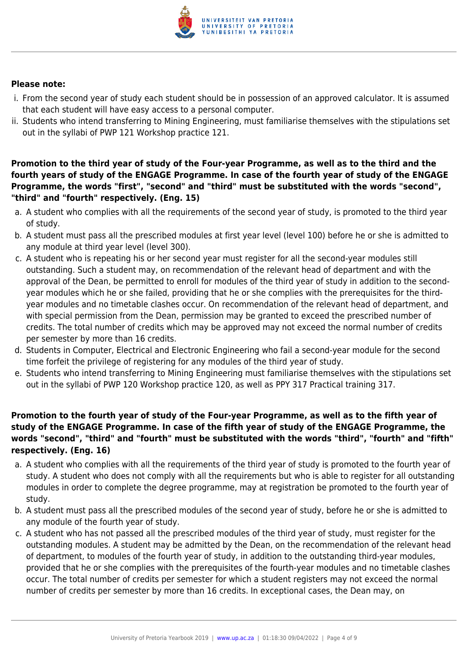

#### **Please note:**

- i. From the second year of study each student should be in possession of an approved calculator. It is assumed that each student will have easy access to a personal computer.
- ii. Students who intend transferring to Mining Engineering, must familiarise themselves with the stipulations set out in the syllabi of PWP 121 Workshop practice 121.

**Promotion to the third year of study of the Four-year Programme, as well as to the third and the fourth years of study of the ENGAGE Programme. In case of the fourth year of study of the ENGAGE Programme, the words "first", "second" and "third" must be substituted with the words "second", "third" and "fourth" respectively. (Eng. 15)**

- a. A student who complies with all the requirements of the second year of study, is promoted to the third year of study.
- b. A student must pass all the prescribed modules at first year level (level 100) before he or she is admitted to any module at third year level (level 300).
- c. A student who is repeating his or her second year must register for all the second-year modules still outstanding. Such a student may, on recommendation of the relevant head of department and with the approval of the Dean, be permitted to enroll for modules of the third year of study in addition to the secondyear modules which he or she failed, providing that he or she complies with the prerequisites for the thirdyear modules and no timetable clashes occur. On recommendation of the relevant head of department, and with special permission from the Dean, permission may be granted to exceed the prescribed number of credits. The total number of credits which may be approved may not exceed the normal number of credits per semester by more than 16 credits.
- d. Students in Computer, Electrical and Electronic Engineering who fail a second-year module for the second time forfeit the privilege of registering for any modules of the third year of study.
- e. Students who intend transferring to Mining Engineering must familiarise themselves with the stipulations set out in the syllabi of PWP 120 Workshop practice 120, as well as PPY 317 Practical training 317.

#### **Promotion to the fourth year of study of the Four-year Programme, as well as to the fifth year of study of the ENGAGE Programme. In case of the fifth year of study of the ENGAGE Programme, the words "second", "third" and "fourth" must be substituted with the words "third", "fourth" and "fifth" respectively. (Eng. 16)**

- a. A student who complies with all the requirements of the third year of study is promoted to the fourth year of study. A student who does not comply with all the requirements but who is able to register for all outstanding modules in order to complete the degree programme, may at registration be promoted to the fourth year of study.
- b. A student must pass all the prescribed modules of the second year of study, before he or she is admitted to any module of the fourth year of study.
- c. A student who has not passed all the prescribed modules of the third year of study, must register for the outstanding modules. A student may be admitted by the Dean, on the recommendation of the relevant head of department, to modules of the fourth year of study, in addition to the outstanding third-year modules, provided that he or she complies with the prerequisites of the fourth-year modules and no timetable clashes occur. The total number of credits per semester for which a student registers may not exceed the normal number of credits per semester by more than 16 credits. In exceptional cases, the Dean may, on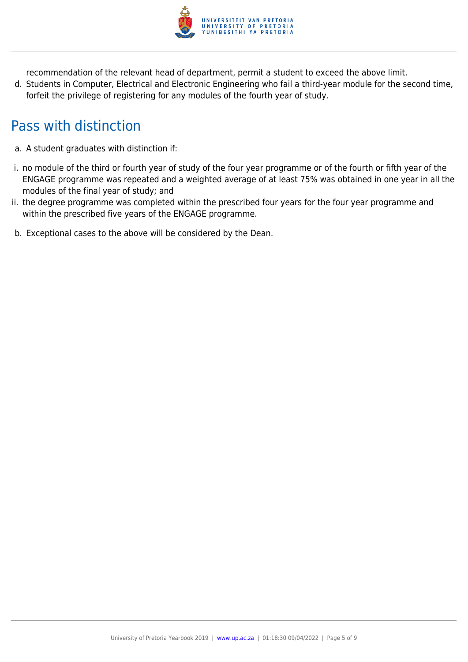

recommendation of the relevant head of department, permit a student to exceed the above limit.

d. Students in Computer, Electrical and Electronic Engineering who fail a third-year module for the second time, forfeit the privilege of registering for any modules of the fourth year of study.

# Pass with distinction

- a. A student graduates with distinction if:
- i. no module of the third or fourth year of study of the four year programme or of the fourth or fifth year of the ENGAGE programme was repeated and a weighted average of at least 75% was obtained in one year in all the modules of the final year of study; and
- ii. the degree programme was completed within the prescribed four years for the four year programme and within the prescribed five years of the ENGAGE programme.
- b. Exceptional cases to the above will be considered by the Dean.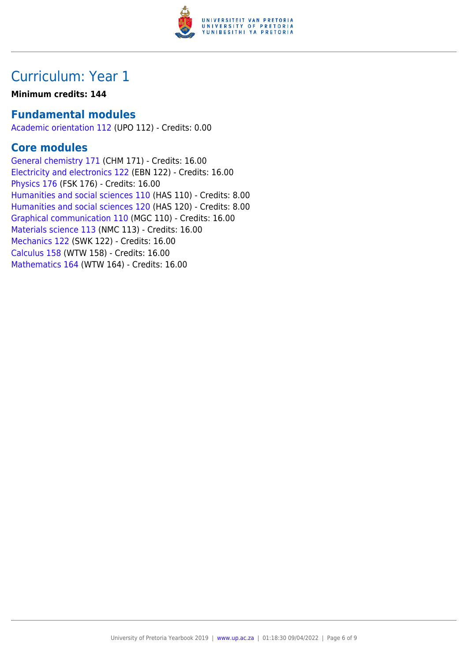

## Curriculum: Year 1

#### **Minimum credits: 144**

### **Fundamental modules**

[Academic orientation 112](https://www.up.ac.za/faculty-of-education/yearbooks/2019/modules/view/UPO 112) (UPO 112) - Credits: 0.00

### **Core modules**

[General chemistry 171](https://www.up.ac.za/faculty-of-education/yearbooks/2019/modules/view/CHM 171) (CHM 171) - Credits: 16.00 [Electricity and electronics 122](https://www.up.ac.za/faculty-of-education/yearbooks/2019/modules/view/EBN 122) (EBN 122) - Credits: 16.00 [Physics 176](https://www.up.ac.za/faculty-of-education/yearbooks/2019/modules/view/FSK 176) (FSK 176) - Credits: 16.00 [Humanities and social sciences 110](https://www.up.ac.za/faculty-of-education/yearbooks/2019/modules/view/HAS 110) (HAS 110) - Credits: 8.00 [Humanities and social sciences 120](https://www.up.ac.za/faculty-of-education/yearbooks/2019/modules/view/HAS 120) (HAS 120) - Credits: 8.00 [Graphical communication 110](https://www.up.ac.za/faculty-of-education/yearbooks/2019/modules/view/MGC 110) (MGC 110) - Credits: 16.00 [Materials science 113](https://www.up.ac.za/faculty-of-education/yearbooks/2019/modules/view/NMC 113) (NMC 113) - Credits: 16.00 [Mechanics 122](https://www.up.ac.za/faculty-of-education/yearbooks/2019/modules/view/SWK 122) (SWK 122) - Credits: 16.00 [Calculus 158](https://www.up.ac.za/faculty-of-education/yearbooks/2019/modules/view/WTW 158) (WTW 158) - Credits: 16.00 [Mathematics 164](https://www.up.ac.za/faculty-of-education/yearbooks/2019/modules/view/WTW 164) (WTW 164) - Credits: 16.00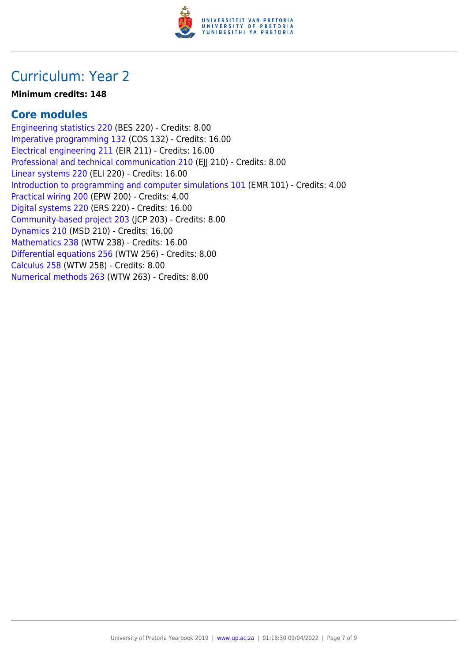

### Curriculum: Year 2

#### **Minimum credits: 148**

### **Core modules**

[Engineering statistics 220](https://www.up.ac.za/faculty-of-education/yearbooks/2019/modules/view/BES 220) (BES 220) - Credits: 8.00 [Imperative programming 132](https://www.up.ac.za/faculty-of-education/yearbooks/2019/modules/view/COS 132) (COS 132) - Credits: 16.00 [Electrical engineering 211](https://www.up.ac.za/faculty-of-education/yearbooks/2019/modules/view/EIR 211) (EIR 211) - Credits: 16.00 [Professional and technical communication 210](https://www.up.ac.za/faculty-of-education/yearbooks/2019/modules/view/EJJ 210) (EJJ 210) - Credits: 8.00 [Linear systems 220](https://www.up.ac.za/faculty-of-education/yearbooks/2019/modules/view/ELI 220) (ELI 220) - Credits: 16.00 [Introduction to programming and computer simulations 101](https://www.up.ac.za/faculty-of-education/yearbooks/2019/modules/view/EMR 101) (EMR 101) - Credits: 4.00 [Practical wiring 200](https://www.up.ac.za/faculty-of-education/yearbooks/2019/modules/view/EPW 200) (EPW 200) - Credits: 4.00 [Digital systems 220](https://www.up.ac.za/faculty-of-education/yearbooks/2019/modules/view/ERS 220) (ERS 220) - Credits: 16.00 [Community-based project 203](https://www.up.ac.za/faculty-of-education/yearbooks/2019/modules/view/JCP 203) (JCP 203) - Credits: 8.00 [Dynamics 210](https://www.up.ac.za/faculty-of-education/yearbooks/2019/modules/view/MSD 210) (MSD 210) - Credits: 16.00 [Mathematics 238](https://www.up.ac.za/faculty-of-education/yearbooks/2019/modules/view/WTW 238) (WTW 238) - Credits: 16.00 [Differential equations 256](https://www.up.ac.za/faculty-of-education/yearbooks/2019/modules/view/WTW 256) (WTW 256) - Credits: 8.00 [Calculus 258](https://www.up.ac.za/faculty-of-education/yearbooks/2019/modules/view/WTW 258) (WTW 258) - Credits: 8.00 [Numerical methods 263](https://www.up.ac.za/faculty-of-education/yearbooks/2019/modules/view/WTW 263) (WTW 263) - Credits: 8.00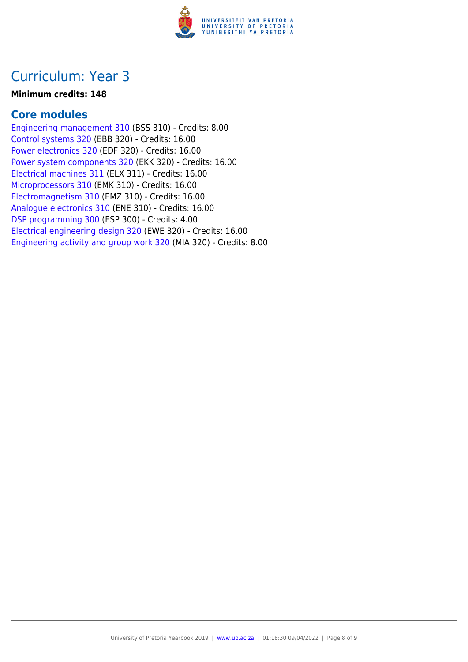

### Curriculum: Year 3

#### **Minimum credits: 148**

### **Core modules**

[Engineering management 310](https://www.up.ac.za/faculty-of-education/yearbooks/2019/modules/view/BSS 310) (BSS 310) - Credits: 8.00 [Control systems 320](https://www.up.ac.za/faculty-of-education/yearbooks/2019/modules/view/EBB 320) (EBB 320) - Credits: 16.00 [Power electronics 320](https://www.up.ac.za/faculty-of-education/yearbooks/2019/modules/view/EDF 320) (EDF 320) - Credits: 16.00 [Power system components 320](https://www.up.ac.za/faculty-of-education/yearbooks/2019/modules/view/EKK 320) (EKK 320) - Credits: 16.00 [Electrical machines 311](https://www.up.ac.za/faculty-of-education/yearbooks/2019/modules/view/ELX 311) (ELX 311) - Credits: 16.00 [Microprocessors 310](https://www.up.ac.za/faculty-of-education/yearbooks/2019/modules/view/EMK 310) (EMK 310) - Credits: 16.00 [Electromagnetism 310](https://www.up.ac.za/faculty-of-education/yearbooks/2019/modules/view/EMZ 310) (EMZ 310) - Credits: 16.00 [Analogue electronics 310](https://www.up.ac.za/faculty-of-education/yearbooks/2019/modules/view/ENE 310) (ENE 310) - Credits: 16.00 [DSP programming 300](https://www.up.ac.za/faculty-of-education/yearbooks/2019/modules/view/ESP 300) (ESP 300) - Credits: 4.00 [Electrical engineering design 320](https://www.up.ac.za/faculty-of-education/yearbooks/2019/modules/view/EWE 320) (EWE 320) - Credits: 16.00 [Engineering activity and group work 320](https://www.up.ac.za/faculty-of-education/yearbooks/2019/modules/view/MIA 320) (MIA 320) - Credits: 8.00